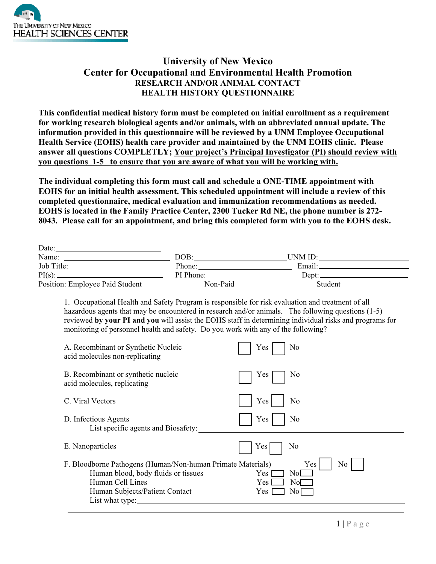

 $\overline{D}$ .

## **University of New Mexico Center for Occupational and Environmental Health Promotion RESEARCH AND/OR ANIMAL CONTACT HEALTH HISTORY QUESTIONNAIRE**

**This confidential medical history form must be completed on initial enrollment as a requirement for working research biological agents and/or animals, with an abbreviated annual update. The information provided in this questionnaire will be reviewed by a UNM Employee Occupational Health Service (EOHS) health care provider and maintained by the UNM EOHS clinic. Please answer all questions COMPLETLY; Your project's Principal Investigator (PI) should review with you questions\_1-5\_ to ensure that you are aware of what you will be working with.** 

**The individual completing this form must call and schedule a ONE-TIME appointment with EOHS for an initial health assessment. This scheduled appointment will include a review of this completed questionnaire, medical evaluation and immunization recommendations as needed. EOHS is located in the Family Practice Center, 2300 Tucker Rd NE, the phone number is 272- 8043. Please call for an appointment, and bring this completed form with you to the EOHS desk.** 

| Date:                                     |           |         |  |
|-------------------------------------------|-----------|---------|--|
| Name:                                     | DOB:      | UNM ID: |  |
| Job Title:                                | Phone:    | Email:  |  |
| $PI(s)$ :                                 | PI Phone: | Dept:   |  |
| Position: Employee Paid Student _________ | Non-Paid  | Student |  |

1. Occupational Health and Safety Program is responsible for risk evaluation and treatment of all hazardous agents that may be encountered in research and/or animals. The following questions (1-5) reviewed **by your PI and you** will assist the EOHS staff in determining individual risks and programs for monitoring of personnel health and safety. Do you work with any of the following?

| A. Recombinant or Synthetic Nucleic                                                                                                                                         | Yes                                                              |
|-----------------------------------------------------------------------------------------------------------------------------------------------------------------------------|------------------------------------------------------------------|
| acid molecules non-replicating                                                                                                                                              | No                                                               |
| B. Recombinant or synthetic nucleic                                                                                                                                         | No                                                               |
| acid molecules, replicating                                                                                                                                                 | Yes                                                              |
| C. Viral Vectors                                                                                                                                                            | Yes<br>No                                                        |
| D. Infectious Agents                                                                                                                                                        | Yes                                                              |
| List specific agents and Biosafety:                                                                                                                                         | No                                                               |
| E. Nanoparticles                                                                                                                                                            | Yes<br>No                                                        |
| F. Bloodborne Pathogens (Human/Non-human Primate Materials)<br>Human blood, body fluids or tissues<br>Human Cell Lines<br>Human Subjects/Patient Contact<br>List what type: | Yes<br>No<br>Nol<br>Yes<br>No <sub>l</sub><br>Yes<br>Yes.<br>No. |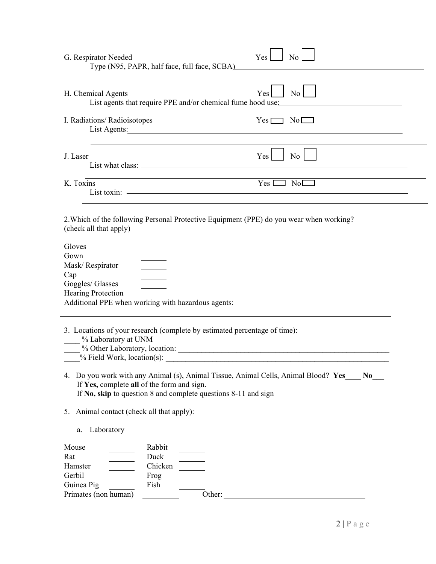|                         | H. Chemical Agents                                                                                                | $Yes$ No $\Box$         |
|-------------------------|-------------------------------------------------------------------------------------------------------------------|-------------------------|
|                         | List agents that require PPE and/or chemical fume hood use:                                                       |                         |
|                         | I. Radiations/Radioisotopes                                                                                       | $Yes \fbox{No}$         |
|                         | List Agents: No. 1996. The Common Section 2014.                                                                   |                         |
| J. Laser                |                                                                                                                   | Yes<br>$\overline{N_0}$ |
|                         |                                                                                                                   |                         |
| K. Toxins               |                                                                                                                   |                         |
|                         | List toxin: <a></a>                                                                                               |                         |
|                         |                                                                                                                   |                         |
|                         | 2. Which of the following Personal Protective Equipment (PPE) do you wear when working?<br>(check all that apply) |                         |
|                         |                                                                                                                   |                         |
| Gloves<br>Gown          |                                                                                                                   |                         |
| Mask/Respirator         |                                                                                                                   |                         |
|                         |                                                                                                                   |                         |
|                         |                                                                                                                   |                         |
|                         |                                                                                                                   |                         |
|                         |                                                                                                                   |                         |
|                         | Hearing Protection                                                                                                |                         |
|                         |                                                                                                                   |                         |
|                         |                                                                                                                   |                         |
|                         | 3. Locations of your research (complete by estimated percentage of time):                                         |                         |
|                         | % Laboratory at UNM                                                                                               |                         |
| Cap<br>Goggles/ Glasses |                                                                                                                   |                         |
|                         | $\frac{1}{2}$ Field Work, location(s):                                                                            |                         |
|                         | 4. Do you work with any Animal (s), Animal Tissue, Animal Cells, Animal Blood? Yes No                             |                         |
|                         | If Yes, complete all of the form and sign.                                                                        |                         |
|                         | If No, skip to question 8 and complete questions 8-11 and sign                                                    |                         |
|                         | 5. Animal contact (check all that apply):                                                                         |                         |
| a.                      | Laboratory                                                                                                        |                         |
|                         |                                                                                                                   |                         |
| Mouse                   | Rabbit                                                                                                            |                         |
| Rat                     | Duck                                                                                                              |                         |
| Hamster<br>Gerbil       | Chicken<br>Frog                                                                                                   |                         |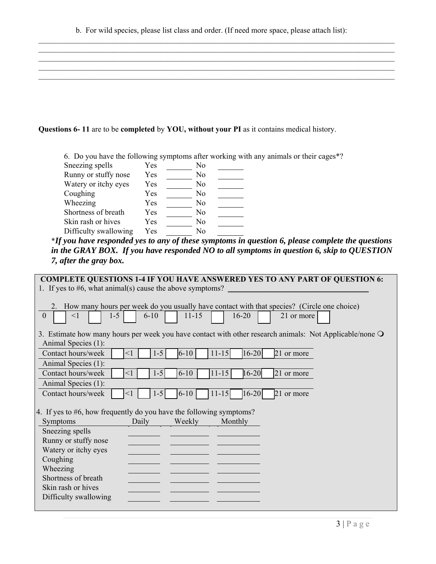$\mathcal{L}_\mathcal{L} = \mathcal{L}_\mathcal{L} = \mathcal{L}_\mathcal{L} = \mathcal{L}_\mathcal{L} = \mathcal{L}_\mathcal{L} = \mathcal{L}_\mathcal{L} = \mathcal{L}_\mathcal{L} = \mathcal{L}_\mathcal{L} = \mathcal{L}_\mathcal{L} = \mathcal{L}_\mathcal{L} = \mathcal{L}_\mathcal{L} = \mathcal{L}_\mathcal{L} = \mathcal{L}_\mathcal{L} = \mathcal{L}_\mathcal{L} = \mathcal{L}_\mathcal{L} = \mathcal{L}_\mathcal{L} = \mathcal{L}_\mathcal{L}$  $\mathcal{L}_\mathcal{L} = \mathcal{L}_\mathcal{L} = \mathcal{L}_\mathcal{L} = \mathcal{L}_\mathcal{L} = \mathcal{L}_\mathcal{L} = \mathcal{L}_\mathcal{L} = \mathcal{L}_\mathcal{L} = \mathcal{L}_\mathcal{L} = \mathcal{L}_\mathcal{L} = \mathcal{L}_\mathcal{L} = \mathcal{L}_\mathcal{L} = \mathcal{L}_\mathcal{L} = \mathcal{L}_\mathcal{L} = \mathcal{L}_\mathcal{L} = \mathcal{L}_\mathcal{L} = \mathcal{L}_\mathcal{L} = \mathcal{L}_\mathcal{L}$  $\mathcal{L}_\mathcal{L} = \mathcal{L}_\mathcal{L} = \mathcal{L}_\mathcal{L} = \mathcal{L}_\mathcal{L} = \mathcal{L}_\mathcal{L} = \mathcal{L}_\mathcal{L} = \mathcal{L}_\mathcal{L} = \mathcal{L}_\mathcal{L} = \mathcal{L}_\mathcal{L} = \mathcal{L}_\mathcal{L} = \mathcal{L}_\mathcal{L} = \mathcal{L}_\mathcal{L} = \mathcal{L}_\mathcal{L} = \mathcal{L}_\mathcal{L} = \mathcal{L}_\mathcal{L} = \mathcal{L}_\mathcal{L} = \mathcal{L}_\mathcal{L}$  $\mathcal{L}_\mathcal{L} = \mathcal{L}_\mathcal{L} = \mathcal{L}_\mathcal{L} = \mathcal{L}_\mathcal{L} = \mathcal{L}_\mathcal{L} = \mathcal{L}_\mathcal{L} = \mathcal{L}_\mathcal{L} = \mathcal{L}_\mathcal{L} = \mathcal{L}_\mathcal{L} = \mathcal{L}_\mathcal{L} = \mathcal{L}_\mathcal{L} = \mathcal{L}_\mathcal{L} = \mathcal{L}_\mathcal{L} = \mathcal{L}_\mathcal{L} = \mathcal{L}_\mathcal{L} = \mathcal{L}_\mathcal{L} = \mathcal{L}_\mathcal{L}$  $\mathcal{L}_\mathcal{L} = \mathcal{L}_\mathcal{L} = \mathcal{L}_\mathcal{L} = \mathcal{L}_\mathcal{L} = \mathcal{L}_\mathcal{L} = \mathcal{L}_\mathcal{L} = \mathcal{L}_\mathcal{L} = \mathcal{L}_\mathcal{L} = \mathcal{L}_\mathcal{L} = \mathcal{L}_\mathcal{L} = \mathcal{L}_\mathcal{L} = \mathcal{L}_\mathcal{L} = \mathcal{L}_\mathcal{L} = \mathcal{L}_\mathcal{L} = \mathcal{L}_\mathcal{L} = \mathcal{L}_\mathcal{L} = \mathcal{L}_\mathcal{L}$ 

## **Questions 6- 11** are to be **completed** by **YOU, without your PI** as it contains medical history.

6. Do you have the following symptoms after working with any animals or their cages\*? Sneezing spells Yes No Runny or stuffy nose Yes No Watery or itchy eyes Yes No Coughing Yes No Wheezing Yes No Shortness of breath Yes No Skin rash or hives Yes No Difficulty swallowing Yes No

\**If you have responded yes to any of these symptoms in question 6, please complete the questions in the GRAY BOX. If you have responded NO to all symptoms in question 6, skip to QUESTION 7, after the gray box.* 

| <b>COMPLETE QUESTIONS 1-4 IF YOU HAVE ANSWERED YES TO ANY PART OF QUESTION 6:</b>                       |  |
|---------------------------------------------------------------------------------------------------------|--|
| 1. If yes to $#6$ , what animal(s) cause the above symptoms?                                            |  |
|                                                                                                         |  |
| 2. How many hours per week do you usually have contact with that species? (Circle one choice)           |  |
| $1 - 5$<br>$\mathbf{0}$<br>$11 - 15$<br>$<$ 1<br>$6 - 10$<br>$16 - 20$<br>21 or more                    |  |
| 3. Estimate how many hours per week you have contact with other research animals: Not Applicable/none O |  |
| Animal Species (1):                                                                                     |  |
| $11 - 15$<br>$16 - 20$<br>Contact hours/week<br>$1 - 5$<br>$6 - 10$<br>21 or more<br>$\leq$ 1           |  |
| Animal Species (1):                                                                                     |  |
| $11 - 15$<br>$16 - 20$<br>Contact hours/week<br>$1 - 5$<br>$6 - 10$<br>21 or more<br>$<$ 1              |  |
| Animal Species (1):                                                                                     |  |
| Contact hours/week<br>$1-5$<br>$6 - 10$<br>$11 - 15$<br>$16 - 20$<br>21 or more<br>$\leq$ 1             |  |
|                                                                                                         |  |
| 4. If yes to #6, how frequently do you have the following symptoms?                                     |  |
| Weekly<br>Monthly<br>Symptoms<br>Daily                                                                  |  |
| Sneezing spells                                                                                         |  |
| Runny or stuffy nose                                                                                    |  |
| Watery or itchy eyes                                                                                    |  |
| Coughing                                                                                                |  |
| Wheezing                                                                                                |  |
| Shortness of breath                                                                                     |  |
| Skin rash or hives                                                                                      |  |
| Difficulty swallowing                                                                                   |  |
|                                                                                                         |  |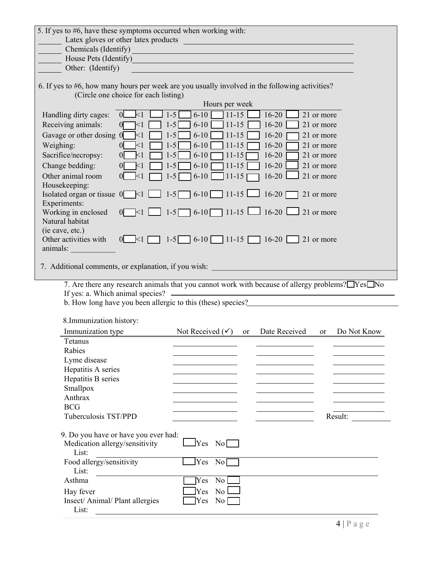| 5. If yes to #6, have these symptoms occurred when working with:                               |                                      |                                                                                                 |               |                                                   |            |             |
|------------------------------------------------------------------------------------------------|--------------------------------------|-------------------------------------------------------------------------------------------------|---------------|---------------------------------------------------|------------|-------------|
| Latex gloves or other latex products                                                           |                                      |                                                                                                 |               | <u> 1980 - Johann Barbara, martxa alemaniar a</u> |            |             |
| Chemicals (Identify)                                                                           |                                      |                                                                                                 |               |                                                   |            |             |
| House Pets (Identify)                                                                          |                                      |                                                                                                 |               |                                                   |            |             |
| Other: (Identify)                                                                              |                                      |                                                                                                 |               |                                                   |            |             |
| 6. If yes to #6, how many hours per week are you usually involved in the following activities? |                                      |                                                                                                 |               |                                                   |            |             |
|                                                                                                | (Circle one choice for each listing) | Hours per week                                                                                  |               |                                                   |            |             |
| Handling dirty cages:                                                                          | $\leq$ 1<br>$\Omega$                 | $11 - 15$<br>$6 - 10$<br>$1-5$                                                                  |               | $16-20$                                           | 21 or more |             |
| Receiving animals:                                                                             | $\leq$ 1                             | $11 - 15$<br>$6 - 10$<br>$1 - 5$                                                                |               | $16 - 20$                                         | 21 or more |             |
| Gavage or other dosing 0                                                                       | $\leq$ 1                             | $11 - 15$<br>$1 - 5$<br>$6 - 10$                                                                |               | $16 - 20$                                         | 21 or more |             |
| Weighing:                                                                                      | $<$ 1                                | $1-5$<br>$6 - 10$<br>$11 - 15$                                                                  |               | $16 - 20$                                         | 21 or more |             |
| Sacrifice/necropsy:                                                                            | $\Omega$<br>$\leq$                   | $1-5$<br>$6 - 10$<br>$11 - 15$                                                                  |               | $16 - 20$                                         | 21 or more |             |
| Change bedding:                                                                                | $\Omega$<br>$\leq$ 1                 | $11 - 15$<br>$1-5$<br>$6 - 10$                                                                  |               | $16-20$                                           | 21 or more |             |
| Other animal room                                                                              | $\overline{0}$<br>$\leq$ 1           | $1-5$<br>$11 - 15$<br>$6 - 10$                                                                  |               | $16-20$                                           | 21 or more |             |
| Housekeeping:                                                                                  |                                      |                                                                                                 |               |                                                   |            |             |
| Isolated organ or tissue $0$ <1                                                                |                                      | $6-10$ 11-15<br>$1-5$                                                                           |               | $\perp$ 16-20                                     | 21 or more |             |
| Experiments:                                                                                   |                                      |                                                                                                 |               |                                                   |            |             |
| Working in enclosed                                                                            | $\overline{0}$<br>$\leq 1$           | $\Box$ 1-5 6-10 11-15 $\Box$ 16-20 $\Box$                                                       |               |                                                   | 21 or more |             |
| Natural habitat                                                                                |                                      |                                                                                                 |               |                                                   |            |             |
| (ie cave, etc.)                                                                                |                                      |                                                                                                 |               |                                                   |            |             |
| Other activities with<br>animals:                                                              | $0 \leq 1$                           | $1-5$ 6-10 11-15 16-20 21 or more                                                               |               |                                                   |            |             |
|                                                                                                |                                      |                                                                                                 |               |                                                   |            |             |
| 7. Additional comments, or explanation, if you wish:                                           |                                      |                                                                                                 |               |                                                   |            |             |
|                                                                                                |                                      |                                                                                                 |               |                                                   |            |             |
|                                                                                                |                                      | 7. Are there any research animals that you cannot work with because of allergy problems? Yes No |               |                                                   |            |             |
| If yes: a. Which animal species? -                                                             |                                      |                                                                                                 |               |                                                   |            |             |
|                                                                                                |                                      | b. How long have you been allergic to this (these) species?______________________               |               |                                                   |            |             |
| 8. Immunization history:                                                                       |                                      |                                                                                                 |               |                                                   |            |             |
| Immunization type                                                                              |                                      | Not Received $(\checkmark)$                                                                     | <sub>or</sub> | Date Received                                     | <b>or</b>  | Do Not Know |
| Tetanus                                                                                        |                                      |                                                                                                 |               |                                                   |            |             |
| Rabies                                                                                         |                                      |                                                                                                 |               |                                                   |            |             |
| Lyme disease                                                                                   |                                      |                                                                                                 |               |                                                   |            |             |
| Hepatitis A series                                                                             |                                      |                                                                                                 |               |                                                   |            |             |
| Hepatitis B series                                                                             |                                      |                                                                                                 |               |                                                   |            |             |
| Smallpox                                                                                       |                                      |                                                                                                 |               |                                                   |            |             |
| Anthrax<br><b>BCG</b>                                                                          |                                      |                                                                                                 |               |                                                   |            |             |
| Tuberculosis TST/PPD                                                                           |                                      |                                                                                                 |               |                                                   |            | Result:     |
|                                                                                                |                                      |                                                                                                 |               |                                                   |            |             |
| 9. Do you have or have you ever had:<br>Medication allergy/sensitivity<br>List:                |                                      | $\text{Yes} \quad \text{No}$                                                                    |               |                                                   |            |             |
| Food allergy/sensitivity                                                                       |                                      | Yes<br>$\overline{\text{No}}$                                                                   |               |                                                   |            |             |
| List:                                                                                          |                                      |                                                                                                 |               |                                                   |            |             |
| Asthma                                                                                         |                                      | Yes<br>$\overline{N_0}$                                                                         |               |                                                   |            |             |
| Hay fever                                                                                      |                                      | No l<br>Yes                                                                                     |               |                                                   |            |             |
| Insect/ Animal/ Plant allergies<br>List:                                                       |                                      | No<br>Yes                                                                                       |               |                                                   |            |             |